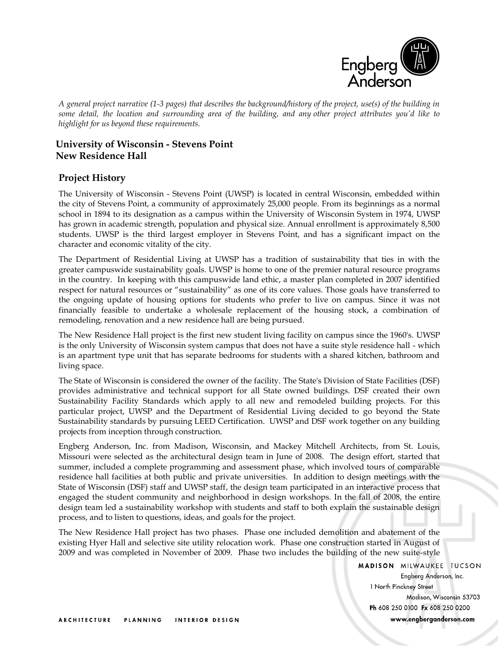

*A general project narrative (1-3 pages) that describes the background/history of the project, use(s) of the building in some detail, the location and surrounding area of the building, and any other project attributes you'd like to highlight for us beyond these requirements.*

# **University of Wisconsin - Stevens Point New Residence Hall**

### **Project History**

The University of Wisconsin - Stevens Point (UWSP) is located in central Wisconsin, embedded within the city of Stevens Point, a community of approximately 25,000 people. From its beginnings as a normal school in 1894 to its designation as a campus within the University of Wisconsin System in 1974, UWSP has grown in academic strength, population and physical size. Annual enrollment is approximately 8,500 students. UWSP is the third largest employer in Stevens Point, and has a significant impact on the character and economic vitality of the city.

The Department of Residential Living at UWSP has a tradition of sustainability that ties in with the greater campuswide sustainability goals. UWSP is home to one of the premier natural resource programs in the country. In keeping with this campuswide land ethic, a master plan completed in 2007 identified respect for natural resources or "sustainability" as one of its core values. Those goals have transferred to the ongoing update of housing options for students who prefer to live on campus. Since it was not financially feasible to undertake a wholesale replacement of the housing stock, a combination of remodeling, renovation and a new residence hall are being pursued.

The New Residence Hall project is the first new student living facility on campus since the 1960's. UWSP is the only University of Wisconsin system campus that does not have a suite style residence hall - which is an apartment type unit that has separate bedrooms for students with a shared kitchen, bathroom and living space.

The State of Wisconsin is considered the owner of the facility. The State's Division of State Facilities (DSF) provides administrative and technical support for all State owned buildings. DSF created their own Sustainability Facility Standards which apply to all new and remodeled building projects. For this particular project, UWSP and the Department of Residential Living decided to go beyond the State Sustainability standards by pursuing LEED Certification. UWSP and DSF work together on any building projects from inception through construction.

Engberg Anderson, Inc. from Madison, Wisconsin, and Mackey Mitchell Architects, from St. Louis, Missouri were selected as the architectural design team in June of 2008. The design effort, started that summer, included a complete programming and assessment phase, which involved tours of comparable residence hall facilities at both public and private universities. In addition to design meetings with the State of Wisconsin (DSF) staff and UWSP staff, the design team participated in an interactive process that engaged the student community and neighborhood in design workshops. In the fall of 2008, the entire design team led a sustainability workshop with students and staff to both explain the sustainable design process, and to listen to questions, ideas, and goals for the project.

The New Residence Hall project has two phases. Phase one included demolition and abatement of the existing Hyer Hall and selective site utility relocation work. Phase one construction started in August of 2009 and was completed in November of 2009. Phase two includes the building of the new suite-style

> **MADISON MILWAUKEE TUCSON** Engberg Anderson, Inc. 1 North Pinckney Street Madison, Wisconsin 53703 Ph 608 250 0100 Fx 608 250 0200 www.engberganderson.com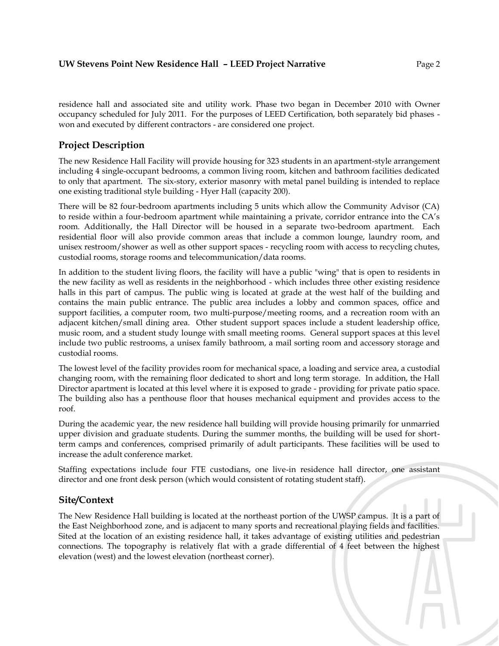residence hall and associated site and utility work. Phase two began in December 2010 with Owner occupancy scheduled for July 2011. For the purposes of LEED Certification, both separately bid phases won and executed by different contractors - are considered one project.

## **Project Description**

The new Residence Hall Facility will provide housing for 323 students in an apartment-style arrangement including 4 single-occupant bedrooms, a common living room, kitchen and bathroom facilities dedicated to only that apartment. The six-story, exterior masonry with metal panel building is intended to replace one existing traditional style building - Hyer Hall (capacity 200).

There will be 82 four-bedroom apartments including 5 units which allow the Community Advisor (CA) to reside within a four-bedroom apartment while maintaining a private, corridor entrance into the CA's room. Additionally, the Hall Director will be housed in a separate two-bedroom apartment. Each residential floor will also provide common areas that include a common lounge, laundry room, and unisex restroom/shower as well as other support spaces - recycling room with access to recycling chutes, custodial rooms, storage rooms and telecommunication/data rooms.

In addition to the student living floors, the facility will have a public "wing" that is open to residents in the new facility as well as residents in the neighborhood - which includes three other existing residence halls in this part of campus. The public wing is located at grade at the west half of the building and contains the main public entrance. The public area includes a lobby and common spaces, office and support facilities, a computer room, two multi-purpose/meeting rooms, and a recreation room with an adjacent kitchen/small dining area. Other student support spaces include a student leadership office, music room, and a student study lounge with small meeting rooms. General support spaces at this level include two public restrooms, a unisex family bathroom, a mail sorting room and accessory storage and custodial rooms.

The lowest level of the facility provides room for mechanical space, a loading and service area, a custodial changing room, with the remaining floor dedicated to short and long term storage. In addition, the Hall Director apartment is located at this level where it is exposed to grade - providing for private patio space. The building also has a penthouse floor that houses mechanical equipment and provides access to the roof.

During the academic year, the new residence hall building will provide housing primarily for unmarried upper division and graduate students. During the summer months, the building will be used for shortterm camps and conferences, comprised primarily of adult participants. These facilities will be used to increase the adult conference market.

Staffing expectations include four FTE custodians, one live-in residence hall director, one assistant director and one front desk person (which would consistent of rotating student staff).

# **Site/Context**

The New Residence Hall building is located at the northeast portion of the UWSP campus. It is a part of the East Neighborhood zone, and is adjacent to many sports and recreational playing fields and facilities. Sited at the location of an existing residence hall, it takes advantage of existing utilities and pedestrian connections. The topography is relatively flat with a grade differential of 4 feet between the highest elevation (west) and the lowest elevation (northeast corner).